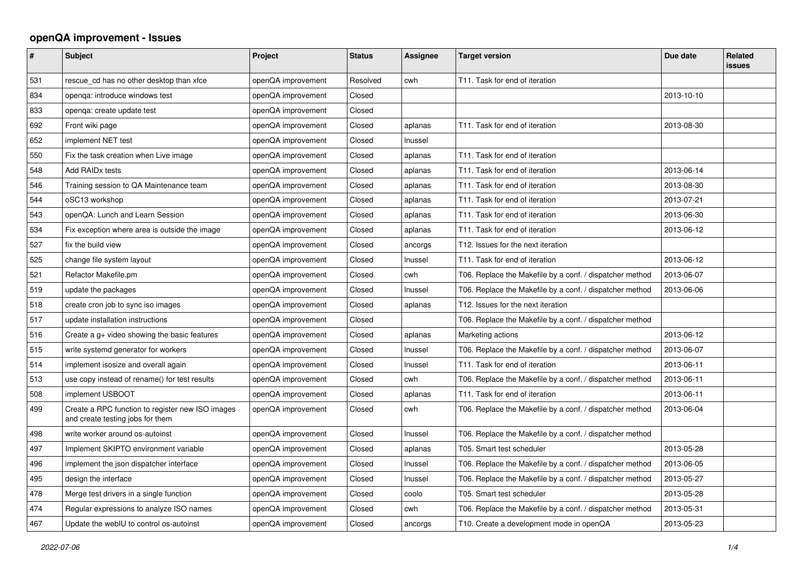## **openQA improvement - Issues**

| $\sharp$ | <b>Subject</b>                                                                       | Project            | <b>Status</b> | Assignee | <b>Target version</b>                                    | Due date   | <b>Related</b><br><b>issues</b> |
|----------|--------------------------------------------------------------------------------------|--------------------|---------------|----------|----------------------------------------------------------|------------|---------------------------------|
| 531      | rescue cd has no other desktop than xfce                                             | openQA improvement | Resolved      | cwh      | T11. Task for end of iteration                           |            |                                 |
| 834      | openga: introduce windows test                                                       | openQA improvement | Closed        |          |                                                          | 2013-10-10 |                                 |
| 833      | openga: create update test                                                           | openQA improvement | Closed        |          |                                                          |            |                                 |
| 692      | Front wiki page                                                                      | openQA improvement | Closed        | aplanas  | T11. Task for end of iteration                           | 2013-08-30 |                                 |
| 652      | implement NET test                                                                   | openQA improvement | Closed        | Inussel  |                                                          |            |                                 |
| 550      | Fix the task creation when Live image                                                | openQA improvement | Closed        | aplanas  | T11. Task for end of iteration                           |            |                                 |
| 548      | Add RAID <sub>x</sub> tests                                                          | openQA improvement | Closed        | aplanas  | T11. Task for end of iteration                           | 2013-06-14 |                                 |
| 546      | Training session to QA Maintenance team                                              | openQA improvement | Closed        | aplanas  | T11. Task for end of iteration                           | 2013-08-30 |                                 |
| 544      | oSC13 workshop                                                                       | openQA improvement | Closed        | aplanas  | T11. Task for end of iteration                           | 2013-07-21 |                                 |
| 543      | openQA: Lunch and Learn Session                                                      | openQA improvement | Closed        | aplanas  | T11. Task for end of iteration                           | 2013-06-30 |                                 |
| 534      | Fix exception where area is outside the image                                        | openQA improvement | Closed        | aplanas  | T11. Task for end of iteration                           | 2013-06-12 |                                 |
| 527      | fix the build view                                                                   | openQA improvement | Closed        | ancorgs  | T12. Issues for the next iteration                       |            |                                 |
| 525      | change file system layout                                                            | openQA improvement | Closed        | Inussel  | T11. Task for end of iteration                           | 2013-06-12 |                                 |
| 521      | Refactor Makefile.pm                                                                 | openQA improvement | Closed        | cwh      | T06. Replace the Makefile by a conf. / dispatcher method | 2013-06-07 |                                 |
| 519      | update the packages                                                                  | openQA improvement | Closed        | Inussel  | T06. Replace the Makefile by a conf. / dispatcher method | 2013-06-06 |                                 |
| 518      | create cron job to sync iso images                                                   | openQA improvement | Closed        | aplanas  | T12. Issues for the next iteration                       |            |                                 |
| 517      | update installation instructions                                                     | openQA improvement | Closed        |          | T06. Replace the Makefile by a conf. / dispatcher method |            |                                 |
| 516      | Create a g+ video showing the basic features                                         | openQA improvement | Closed        | aplanas  | Marketing actions                                        | 2013-06-12 |                                 |
| 515      | write systemd generator for workers                                                  | openQA improvement | Closed        | Inussel  | T06. Replace the Makefile by a conf. / dispatcher method | 2013-06-07 |                                 |
| 514      | implement isosize and overall again                                                  | openQA improvement | Closed        | Inussel  | T11. Task for end of iteration                           | 2013-06-11 |                                 |
| 513      | use copy instead of rename() for test results                                        | openQA improvement | Closed        | cwh      | T06. Replace the Makefile by a conf. / dispatcher method | 2013-06-11 |                                 |
| 508      | implement USBOOT                                                                     | openQA improvement | Closed        | aplanas  | T11. Task for end of iteration                           | 2013-06-11 |                                 |
| 499      | Create a RPC function to register new ISO images<br>and create testing jobs for them | openQA improvement | Closed        | cwh      | T06. Replace the Makefile by a conf. / dispatcher method | 2013-06-04 |                                 |
| 498      | write worker around os-autoinst                                                      | openQA improvement | Closed        | Inussel  | T06. Replace the Makefile by a conf. / dispatcher method |            |                                 |
| 497      | Implement SKIPTO environment variable                                                | openQA improvement | Closed        | aplanas  | T05. Smart test scheduler                                | 2013-05-28 |                                 |
| 496      | implement the json dispatcher interface                                              | openQA improvement | Closed        | Inussel  | T06. Replace the Makefile by a conf. / dispatcher method | 2013-06-05 |                                 |
| 495      | design the interface                                                                 | openQA improvement | Closed        | Inussel  | T06. Replace the Makefile by a conf. / dispatcher method | 2013-05-27 |                                 |
| 478      | Merge test drivers in a single function                                              | openQA improvement | Closed        | coolo    | T05. Smart test scheduler                                | 2013-05-28 |                                 |
| 474      | Regular expressions to analyze ISO names                                             | openQA improvement | Closed        | cwh      | T06. Replace the Makefile by a conf. / dispatcher method | 2013-05-31 |                                 |
| 467      | Update the webIU to control os-autoinst                                              | openQA improvement | Closed        | ancorgs  | T10. Create a development mode in openQA                 | 2013-05-23 |                                 |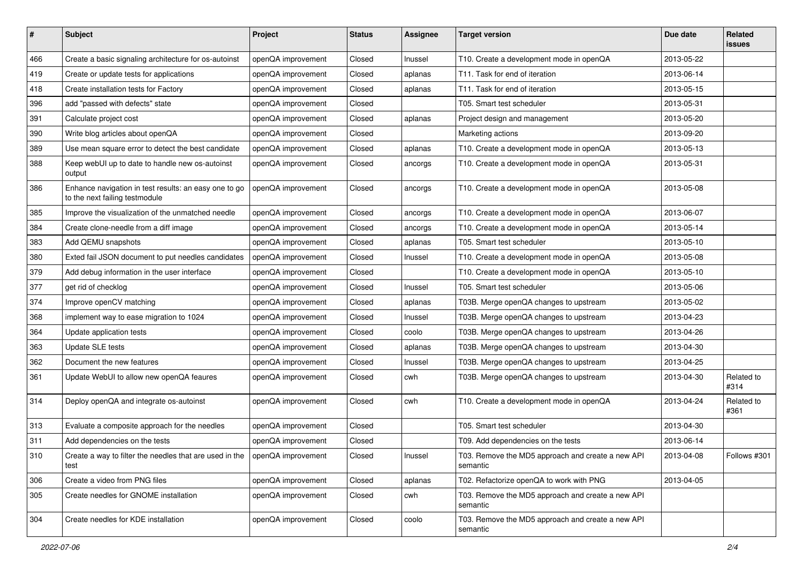| $\#$ | Subject                                                                                 | Project            | <b>Status</b> | <b>Assignee</b> | <b>Target version</b>                                         | Due date   | <b>Related</b><br><b>issues</b> |
|------|-----------------------------------------------------------------------------------------|--------------------|---------------|-----------------|---------------------------------------------------------------|------------|---------------------------------|
| 466  | Create a basic signaling architecture for os-autoinst                                   | openQA improvement | Closed        | Inussel         | T10. Create a development mode in openQA                      | 2013-05-22 |                                 |
| 419  | Create or update tests for applications                                                 | openQA improvement | Closed        | aplanas         | T11. Task for end of iteration                                | 2013-06-14 |                                 |
| 418  | Create installation tests for Factory                                                   | openQA improvement | Closed        | aplanas         | T11. Task for end of iteration                                | 2013-05-15 |                                 |
| 396  | add "passed with defects" state                                                         | openQA improvement | Closed        |                 | T05. Smart test scheduler                                     | 2013-05-31 |                                 |
| 391  | Calculate project cost                                                                  | openQA improvement | Closed        | aplanas         | Project design and management                                 | 2013-05-20 |                                 |
| 390  | Write blog articles about openQA                                                        | openQA improvement | Closed        |                 | Marketing actions                                             | 2013-09-20 |                                 |
| 389  | Use mean square error to detect the best candidate                                      | openQA improvement | Closed        | aplanas         | T10. Create a development mode in openQA                      | 2013-05-13 |                                 |
| 388  | Keep webUI up to date to handle new os-autoinst<br>output                               | openQA improvement | Closed        | ancorgs         | T10. Create a development mode in openQA                      | 2013-05-31 |                                 |
| 386  | Enhance navigation in test results: an easy one to go<br>to the next failing testmodule | openQA improvement | Closed        | ancorgs         | T10. Create a development mode in openQA                      | 2013-05-08 |                                 |
| 385  | Improve the visualization of the unmatched needle                                       | openQA improvement | Closed        | ancorgs         | T10. Create a development mode in openQA                      | 2013-06-07 |                                 |
| 384  | Create clone-needle from a diff image                                                   | openQA improvement | Closed        | ancorgs         | T10. Create a development mode in openQA                      | 2013-05-14 |                                 |
| 383  | Add QEMU snapshots                                                                      | openQA improvement | Closed        | aplanas         | T05. Smart test scheduler                                     | 2013-05-10 |                                 |
| 380  | Exted fail JSON document to put needles candidates                                      | openQA improvement | Closed        | Inussel         | T10. Create a development mode in openQA                      | 2013-05-08 |                                 |
| 379  | Add debug information in the user interface                                             | openQA improvement | Closed        |                 | T10. Create a development mode in openQA                      | 2013-05-10 |                                 |
| 377  | get rid of checklog                                                                     | openQA improvement | Closed        | Inussel         | T05. Smart test scheduler                                     | 2013-05-06 |                                 |
| 374  | Improve openCV matching                                                                 | openQA improvement | Closed        | aplanas         | T03B. Merge openQA changes to upstream                        | 2013-05-02 |                                 |
| 368  | implement way to ease migration to 1024                                                 | openQA improvement | Closed        | Inussel         | T03B. Merge openQA changes to upstream                        | 2013-04-23 |                                 |
| 364  | Update application tests                                                                | openQA improvement | Closed        | coolo           | T03B. Merge openQA changes to upstream                        | 2013-04-26 |                                 |
| 363  | Update SLE tests                                                                        | openQA improvement | Closed        | aplanas         | T03B. Merge openQA changes to upstream                        | 2013-04-30 |                                 |
| 362  | Document the new features                                                               | openQA improvement | Closed        | Inussel         | T03B. Merge openQA changes to upstream                        | 2013-04-25 |                                 |
| 361  | Update WebUI to allow new openQA feaures                                                | openQA improvement | Closed        | cwh             | T03B. Merge openQA changes to upstream                        | 2013-04-30 | Related to<br>#314              |
| 314  | Deploy openQA and integrate os-autoinst                                                 | openQA improvement | Closed        | cwh             | T10. Create a development mode in openQA                      | 2013-04-24 | Related to<br>#361              |
| 313  | Evaluate a composite approach for the needles                                           | openQA improvement | Closed        |                 | T05. Smart test scheduler                                     | 2013-04-30 |                                 |
| 311  | Add dependencies on the tests                                                           | openQA improvement | Closed        |                 | T09. Add dependencies on the tests                            | 2013-06-14 |                                 |
| 310  | Create a way to filter the needles that are used in the<br>test                         | openQA improvement | Closed        | Inussel         | T03. Remove the MD5 approach and create a new API<br>semantic | 2013-04-08 | Follows #301                    |
| 306  | Create a video from PNG files                                                           | openQA improvement | Closed        | aplanas         | T02. Refactorize openQA to work with PNG                      | 2013-04-05 |                                 |
| 305  | Create needles for GNOME installation                                                   | openQA improvement | Closed        | cwh             | T03. Remove the MD5 approach and create a new API<br>semantic |            |                                 |
| 304  | Create needles for KDE installation                                                     | openQA improvement | Closed        | coolo           | T03. Remove the MD5 approach and create a new API<br>semantic |            |                                 |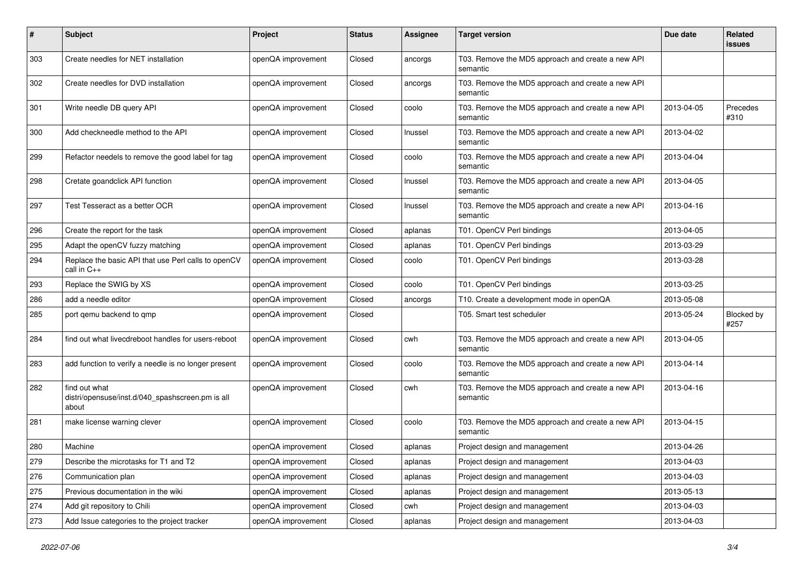| $\#$ | <b>Subject</b>                                                             | Project            | <b>Status</b> | <b>Assignee</b> | <b>Target version</b>                                         | Due date   | <b>Related</b><br><b>issues</b> |
|------|----------------------------------------------------------------------------|--------------------|---------------|-----------------|---------------------------------------------------------------|------------|---------------------------------|
| 303  | Create needles for NET installation                                        | openQA improvement | Closed        | ancorgs         | T03. Remove the MD5 approach and create a new API<br>semantic |            |                                 |
| 302  | Create needles for DVD installation                                        | openQA improvement | Closed        | ancorgs         | T03. Remove the MD5 approach and create a new API<br>semantic |            |                                 |
| 301  | Write needle DB query API                                                  | openQA improvement | Closed        | coolo           | T03. Remove the MD5 approach and create a new API<br>semantic | 2013-04-05 | Precedes<br>#310                |
| 300  | Add checkneedle method to the API                                          | openQA improvement | Closed        | Inussel         | T03. Remove the MD5 approach and create a new API<br>semantic | 2013-04-02 |                                 |
| 299  | Refactor needels to remove the good label for tag                          | openQA improvement | Closed        | coolo           | T03. Remove the MD5 approach and create a new API<br>semantic | 2013-04-04 |                                 |
| 298  | Cretate goandclick API function                                            | openQA improvement | Closed        | Inussel         | T03. Remove the MD5 approach and create a new API<br>semantic | 2013-04-05 |                                 |
| 297  | Test Tesseract as a better OCR                                             | openQA improvement | Closed        | Inussel         | T03. Remove the MD5 approach and create a new API<br>semantic | 2013-04-16 |                                 |
| 296  | Create the report for the task                                             | openQA improvement | Closed        | aplanas         | T01. OpenCV Perl bindings                                     | 2013-04-05 |                                 |
| 295  | Adapt the openCV fuzzy matching                                            | openQA improvement | Closed        | aplanas         | T01. OpenCV Perl bindings                                     | 2013-03-29 |                                 |
| 294  | Replace the basic API that use Perl calls to openCV<br>call in C++         | openQA improvement | Closed        | coolo           | T01. OpenCV Perl bindings                                     | 2013-03-28 |                                 |
| 293  | Replace the SWIG by XS                                                     | openQA improvement | Closed        | coolo           | T01. OpenCV Perl bindings                                     | 2013-03-25 |                                 |
| 286  | add a needle editor                                                        | openQA improvement | Closed        | ancorgs         | T10. Create a development mode in openQA                      | 2013-05-08 |                                 |
| 285  | port qemu backend to qmp                                                   | openQA improvement | Closed        |                 | T05. Smart test scheduler                                     | 2013-05-24 | Blocked by<br>#257              |
| 284  | find out what livecdreboot handles for users-reboot                        | openQA improvement | Closed        | cwh             | T03. Remove the MD5 approach and create a new API<br>semantic | 2013-04-05 |                                 |
| 283  | add function to verify a needle is no longer present                       | openQA improvement | Closed        | coolo           | T03. Remove the MD5 approach and create a new API<br>semantic | 2013-04-14 |                                 |
| 282  | find out what<br>distri/opensuse/inst.d/040_spashscreen.pm is all<br>about | openQA improvement | Closed        | cwh             | T03. Remove the MD5 approach and create a new API<br>semantic | 2013-04-16 |                                 |
| 281  | make license warning clever                                                | openQA improvement | Closed        | coolo           | T03. Remove the MD5 approach and create a new API<br>semantic | 2013-04-15 |                                 |
| 280  | Machine                                                                    | openQA improvement | Closed        | aplanas         | Project design and management                                 | 2013-04-26 |                                 |
| 279  | Describe the microtasks for T1 and T2                                      | openQA improvement | Closed        | aplanas         | Project design and management                                 | 2013-04-03 |                                 |
| 276  | Communication plan                                                         | openQA improvement | Closed        | aplanas         | Project design and management                                 | 2013-04-03 |                                 |
| 275  | Previous documentation in the wiki                                         | openQA improvement | Closed        | aplanas         | Project design and management                                 | 2013-05-13 |                                 |
| 274  | Add git repository to Chili                                                | openQA improvement | Closed        | cwh             | Project design and management                                 | 2013-04-03 |                                 |
| 273  | Add Issue categories to the project tracker                                | openQA improvement | Closed        | aplanas         | Project design and management                                 | 2013-04-03 |                                 |